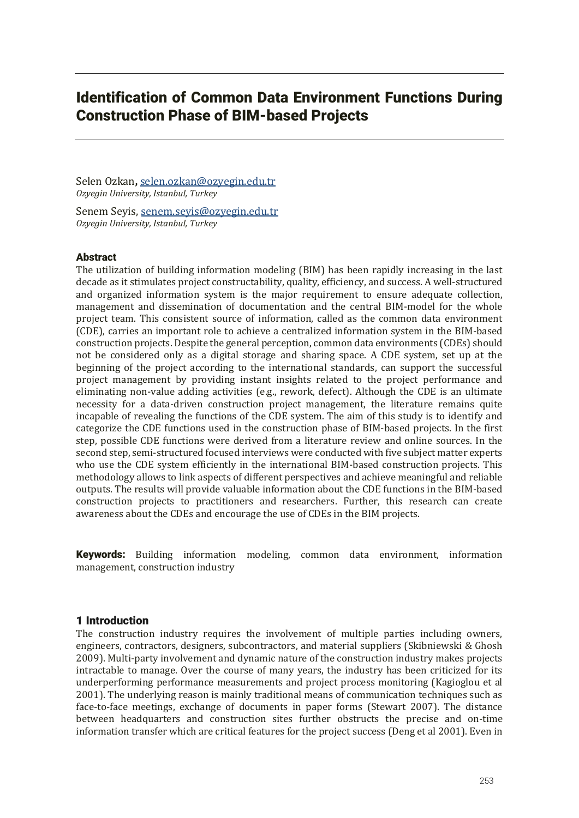# Identification of Common Data Environment Functions During Construction Phase of BIM-based Projects

Selen Ozkan**,** selen.ozkan@ozyegin.edu.tr *Ozyegin University, Istanbul, Turkey*

Senem Seyis, senem.seyis@ozyegin.edu.tr *Ozyegin University, Istanbul, Turkey*

# **Abstract**

The utilization of building information modeling (BIM) has been rapidly increasing in the last decade as it stimulates project constructability, quality, efficiency, and success. A well-structured and organized information system is the major requirement to ensure adequate collection, management and dissemination of documentation and the central BIM-model for the whole project team. This consistent source of information, called as the common data environment (CDE), carries an important role to achieve a centralized information system in the BIM-based construction projects. Despite the general perception, common data environments (CDEs) should not be considered only as a digital storage and sharing space. A CDE system, set up at the beginning of the project according to the international standards, can support the successful project management by providing instant insights related to the project performance and eliminating non-value adding activities (e.g., rework, defect). Although the CDE is an ultimate necessity for a data-driven construction project management, the literature remains quite incapable of revealing the functions of the CDE system. The aim of this study is to identify and categorize the CDE functions used in the construction phase of BIM-based projects. In the first step, possible CDE functions were derived from a literature review and online sources. In the second step, semi-structured focused interviews were conducted with five subject matter experts who use the CDE system efficiently in the international BIM-based construction projects. This methodology allows to link aspects of different perspectives and achieve meaningful and reliable outputs. The results will provide valuable information about the CDE functions in the BIM-based construction projects to practitioners and researchers. Further, this research can create awareness about the CDEs and encourage the use of CDEs in the BIM projects.

Keywords: Building information modeling, common data environment, information management, construction industry

# 1 Introduction

The construction industry requires the involvement of multiple parties including owners, engineers, contractors, designers, subcontractors, and material suppliers (Skibniewski & Ghosh 2009). Multi-party involvement and dynamic nature of the construction industry makes projects intractable to manage. Over the course of many years, the industry has been criticized for its underperforming performance measurements and project process monitoring (Kagioglou et al 2001). The underlying reason is mainly traditional means of communication techniques such as face-to-face meetings, exchange of documents in paper forms (Stewart 2007). The distance between headquarters and construction sites further obstructs the precise and on-time information transfer which are critical features for the project success (Deng et al 2001). Even in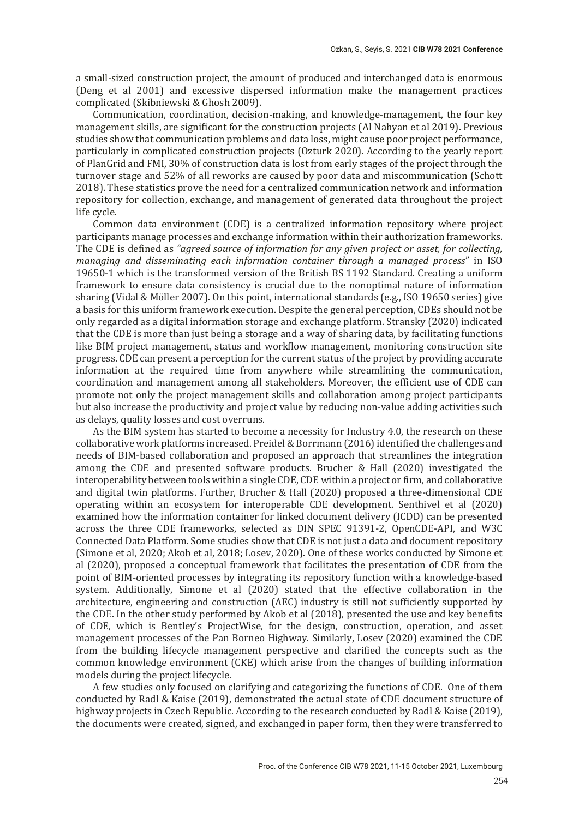a small-sized construction project, the amount of produced and interchanged data is enormous (Deng et al 2001) and excessive dispersed information make the management practices complicated (Skibniewski & Ghosh 2009).

Communication, coordination, decision-making, and knowledge-management, the four key management skills, are significant for the construction projects (Al Nahyan et al 2019). Previous studies show that communication problems and data loss, might cause poor project performance, particularly in complicated construction projects (Ozturk 2020). According to the yearly report of PlanGrid and FMI, 30% of construction data is lost from early stages of the project through the turnover stage and 52% of all reworks are caused by poor data and miscommunication (Schott 2018). These statistics prove the need for a centralized communication network and information repository for collection, exchange, and management of generated data throughout the project life cycle.

Common data environment (CDE) is a centralized information repository where project participants manage processes and exchange information within their authorization frameworks. The CDE is defined as "agreed source of information for any given project or asset, for collecting, managing and disseminating each information container through a managed process" in ISO 19650-1 which is the transformed version of the British BS 1192 Standard. Creating a uniform framework to ensure data consistency is crucial due to the nonoptimal nature of information sharing (Vidal & Möller 2007). On this point, international standards (e.g., ISO 19650 series) give a basis for this uniform framework execution. Despite the general perception, CDEs should not be only regarded as a digital information storage and exchange platform. Stransky (2020) indicated that the CDE is more than just being a storage and a way of sharing data, by facilitating functions like BIM project management, status and workflow management, monitoring construction site progress. CDE can present a perception for the current status of the project by providing accurate information at the required time from anywhere while streamlining the communication, coordination and management among all stakeholders. Moreover, the efficient use of CDE can promote not only the project management skills and collaboration among project participants but also increase the productivity and project value by reducing non-value adding activities such as delays, quality losses and cost overruns.

As the BIM system has started to become a necessity for Industry 4.0, the research on these collaborative work platforms increased. Preidel & Borrmann (2016) identified the challenges and needs of BIM-based collaboration and proposed an approach that streamlines the integration among the CDE and presented software products. Brucher & Hall (2020) investigated the interoperability between tools within a single CDE, CDE within a project or firm, and collaborative and digital twin platforms. Further, Brucher & Hall (2020) proposed a three-dimensional CDE operating within an ecosystem for interoperable CDE development. Senthivel et al (2020) examined how the information container for linked document delivery (ICDD) can be presented across the three CDE frameworks, selected as DIN SPEC 91391-2, OpenCDE-API, and W3C Connected Data Platform. Some studies show that CDE is not just a data and document repository (Simone et al, 2020; Akob et al, 2018; Losey, 2020). One of these works conducted by Simone et al (2020), proposed a conceptual framework that facilitates the presentation of CDE from the point of BIM-oriented processes by integrating its repository function with a knowledge-based system. Additionally, Simone et al (2020) stated that the effective collaboration in the architecture, engineering and construction (AEC) industry is still not sufficiently supported by the CDE. In the other study performed by Akob et al (2018), presented the use and key benefits of CDE, which is Bentley's ProjectWise, for the design, construction, operation, and asset management processes of the Pan Borneo Highway. Similarly, Losev (2020) examined the CDE from the building lifecycle management perspective and clarified the concepts such as the common knowledge environment (CKE) which arise from the changes of building information models during the project lifecycle.

A few studies only focused on clarifying and categorizing the functions of CDE. One of them conducted by Radl & Kaise (2019), demonstrated the actual state of CDE document structure of highway projects in Czech Republic. According to the research conducted by Radl & Kaise (2019), the documents were created, signed, and exchanged in paper form, then they were transferred to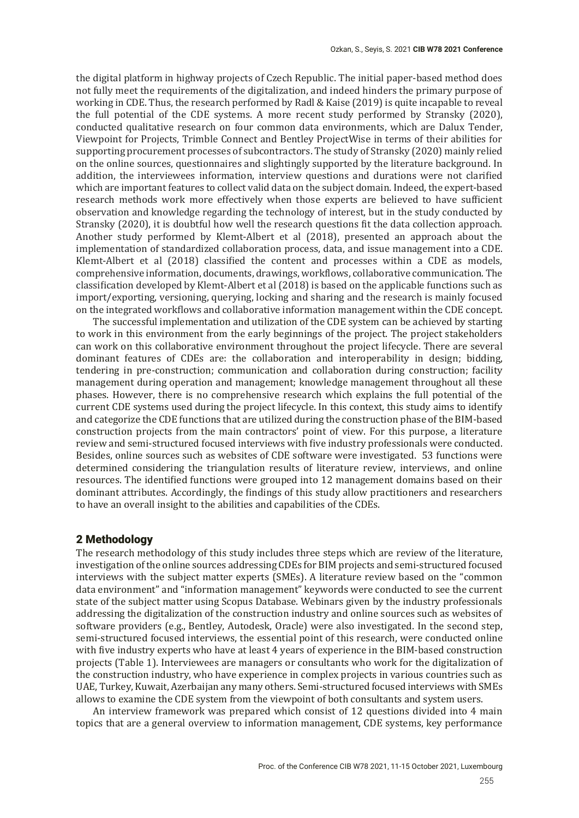the digital platform in highway projects of Czech Republic. The initial paper-based method does not fully meet the requirements of the digitalization, and indeed hinders the primary purpose of working in CDE. Thus, the research performed by Radl & Kaise (2019) is quite incapable to reveal the full potential of the CDE systems. A more recent study performed by Stransky (2020), conducted qualitative research on four common data environments, which are Dalux Tender, Viewpoint for Projects, Trimble Connect and Bentley ProjectWise in terms of their abilities for supporting procurement processes of subcontractors. The study of Stransky (2020) mainly relied on the online sources, questionnaires and slightingly supported by the literature background. In addition, the interviewees information, interview questions and durations were not clarified which are important features to collect valid data on the subject domain. Indeed, the expert-based research methods work more effectively when those experts are believed to have sufficient observation and knowledge regarding the technology of interest, but in the study conducted by Stransky (2020), it is doubtful how well the research questions fit the data collection approach. Another study performed by Klemt-Albert et al (2018), presented an approach about the implementation of standardized collaboration process, data, and issue management into a CDE. Klemt-Albert et al (2018) classified the content and processes within a CDE as models, comprehensive information, documents, drawings, workflows, collaborative communication. The classification developed by Klemt-Albert et al  $(2018)$  is based on the applicable functions such as import/exporting, versioning, querying, locking and sharing and the research is mainly focused on the integrated workflows and collaborative information management within the CDE concept.

The successful implementation and utilization of the CDE system can be achieved by starting to work in this environment from the early beginnings of the project. The project stakeholders can work on this collaborative environment throughout the project lifecycle. There are several dominant features of CDEs are: the collaboration and interoperability in design; bidding, tendering in pre-construction; communication and collaboration during construction; facility management during operation and management; knowledge management throughout all these phases. However, there is no comprehensive research which explains the full potential of the current CDE systems used during the project lifecycle. In this context, this study aims to identify and categorize the CDE functions that are utilized during the construction phase of the BIM-based construction projects from the main contractors' point of view. For this purpose, a literature review and semi-structured focused interviews with five industry professionals were conducted. Besides, online sources such as websites of CDE software were investigated. 53 functions were determined considering the triangulation results of literature review, interviews, and online resources. The identified functions were grouped into 12 management domains based on their dominant attributes. Accordingly, the findings of this study allow practitioners and researchers to have an overall insight to the abilities and capabilities of the CDEs.

### 2 Methodology

The research methodology of this study includes three steps which are review of the literature, investigation of the online sources addressing CDEs for BIM projects and semi-structured focused interviews with the subject matter experts (SMEs). A literature review based on the "common" data environment" and "information management" keywords were conducted to see the current state of the subject matter using Scopus Database. Webinars given by the industry professionals addressing the digitalization of the construction industry and online sources such as websites of software providers (e.g., Bentley, Autodesk, Oracle) were also investigated. In the second step, semi-structured focused interviews, the essential point of this research, were conducted online with five industry experts who have at least 4 years of experience in the BIM-based construction projects (Table 1). Interviewees are managers or consultants who work for the digitalization of the construction industry, who have experience in complex projects in various countries such as UAE, Turkey, Kuwait, Azerbaijan any many others. Semi-structured focused interviews with SMEs allows to examine the CDE system from the viewpoint of both consultants and system users.

An interview framework was prepared which consist of 12 questions divided into 4 main topics that are a general overview to information management, CDE systems, key performance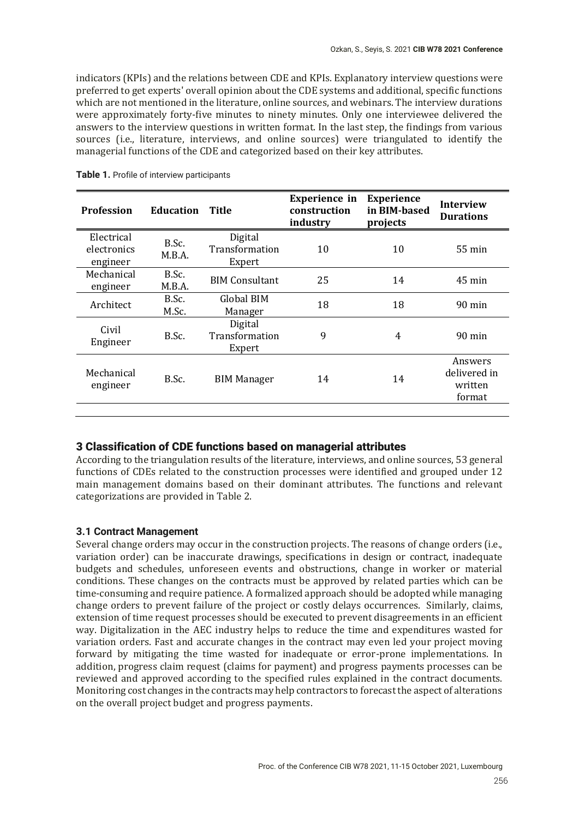indicators (KPIs) and the relations between CDE and KPIs. Explanatory interview questions were preferred to get experts' overall opinion about the CDE systems and additional, specific functions which are not mentioned in the literature, online sources, and webinars. The interview durations were approximately forty-five minutes to ninety minutes. Only one interviewee delivered the answers to the interview questions in written format. In the last step, the findings from various sources (i.e., literature, interviews, and online sources) were triangulated to identify the managerial functions of the CDE and categorized based on their key attributes.

| <b>Profession</b>                     | <b>Education</b> | <b>Title</b>                        | <b>Experience</b> in<br>construction<br>industry | <b>Experience</b><br>in BIM-based<br>projects | <b>Interview</b><br><b>Durations</b>         |
|---------------------------------------|------------------|-------------------------------------|--------------------------------------------------|-----------------------------------------------|----------------------------------------------|
| Electrical<br>electronics<br>engineer | B.Sc.<br>M.B.A.  | Digital<br>Transformation<br>Expert | 10                                               | 10                                            | $55 \text{ min}$                             |
| Mechanical<br>engineer                | B.Sc.<br>M.B.A.  | <b>BIM Consultant</b>               | 25                                               | 14                                            | $45 \text{ min}$                             |
| Architect                             | B.Sc.<br>M.Sc.   | Global BIM<br>Manager               | 18                                               | 18                                            | $90 \text{ min}$                             |
| Civil<br>Engineer                     | B.Sc.            | Digital<br>Transformation<br>Expert | 9                                                | 4                                             | 90 min                                       |
| Mechanical<br>engineer                | B.Sc.            | <b>BIM Manager</b>                  | 14                                               | 14                                            | Answers<br>delivered in<br>written<br>format |
|                                       |                  |                                     |                                                  |                                               |                                              |

**Table 1.** Profile of interview participants

## 3 Classification of CDE functions based on managerial attributes

According to the triangulation results of the literature, interviews, and online sources, 53 general functions of CDEs related to the construction processes were identified and grouped under 12 main management domains based on their dominant attributes. The functions and relevant categorizations are provided in Table 2.

### **3.1 Contract Management**

Several change orders may occur in the construction projects. The reasons of change orders (i.e., variation order) can be inaccurate drawings, specifications in design or contract, inadequate budgets and schedules, unforeseen events and obstructions, change in worker or material conditions. These changes on the contracts must be approved by related parties which can be time-consuming and require patience. A formalized approach should be adopted while managing change orders to prevent failure of the project or costly delays occurrences. Similarly, claims, extension of time request processes should be executed to prevent disagreements in an efficient way. Digitalization in the AEC industry helps to reduce the time and expenditures wasted for variation orders. Fast and accurate changes in the contract may even led your project moving forward by mitigating the time wasted for inadequate or error-prone implementations. In addition, progress claim request (claims for payment) and progress payments processes can be reviewed and approved according to the specified rules explained in the contract documents. Monitoring cost changes in the contracts may help contractors to forecast the aspect of alterations on the overall project budget and progress payments.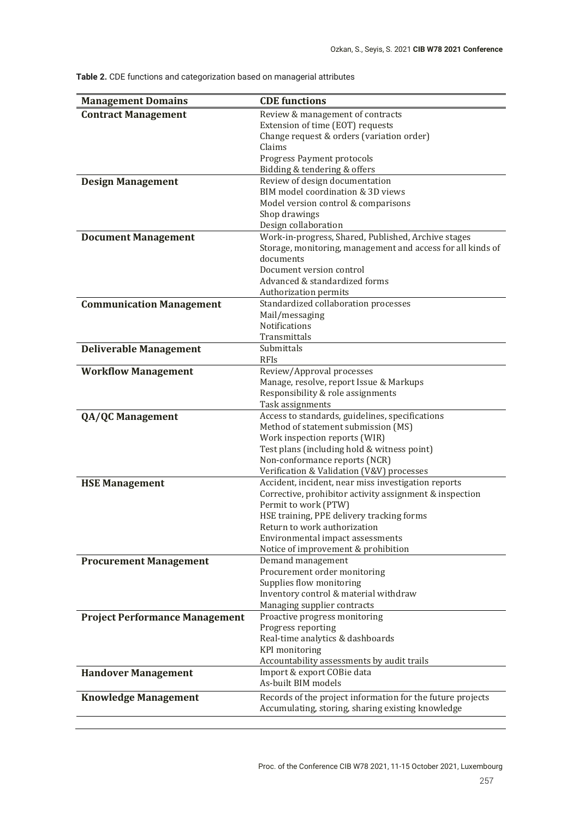| <b>Management Domains</b>             | <b>CDE</b> functions                                                                                               |
|---------------------------------------|--------------------------------------------------------------------------------------------------------------------|
| <b>Contract Management</b>            | Review & management of contracts                                                                                   |
|                                       | Extension of time (EOT) requests                                                                                   |
|                                       | Change request & orders (variation order)                                                                          |
|                                       | Claims                                                                                                             |
|                                       | Progress Payment protocols                                                                                         |
|                                       | Bidding & tendering & offers                                                                                       |
| <b>Design Management</b>              | Review of design documentation                                                                                     |
|                                       | BIM model coordination & 3D views                                                                                  |
|                                       | Model version control & comparisons                                                                                |
|                                       | Shop drawings                                                                                                      |
|                                       | Design collaboration                                                                                               |
| <b>Document Management</b>            | Work-in-progress, Shared, Published, Archive stages<br>Storage, monitoring, management and access for all kinds of |
|                                       | documents                                                                                                          |
|                                       | Document version control                                                                                           |
|                                       | Advanced & standardized forms                                                                                      |
|                                       | Authorization permits                                                                                              |
| <b>Communication Management</b>       | Standardized collaboration processes                                                                               |
|                                       | Mail/messaging                                                                                                     |
|                                       | Notifications                                                                                                      |
|                                       | Transmittals                                                                                                       |
| <b>Deliverable Management</b>         | Submittals                                                                                                         |
|                                       | <b>RFIs</b>                                                                                                        |
| <b>Workflow Management</b>            | Review/Approval processes                                                                                          |
|                                       | Manage, resolve, report Issue & Markups                                                                            |
|                                       | Responsibility & role assignments                                                                                  |
|                                       | Task assignments                                                                                                   |
| <b>QA/QC Management</b>               | Access to standards, guidelines, specifications                                                                    |
|                                       | Method of statement submission (MS)<br>Work inspection reports (WIR)                                               |
|                                       | Test plans (including hold & witness point)                                                                        |
|                                       | Non-conformance reports (NCR)                                                                                      |
|                                       | Verification & Validation (V&V) processes                                                                          |
| <b>HSE Management</b>                 | Accident, incident, near miss investigation reports                                                                |
|                                       | Corrective, prohibitor activity assignment & inspection                                                            |
|                                       | Permit to work (PTW)                                                                                               |
|                                       | HSE training, PPE delivery tracking forms                                                                          |
|                                       | Return to work authorization                                                                                       |
|                                       | Environmental impact assessments                                                                                   |
|                                       | Notice of improvement & prohibition                                                                                |
| <b>Procurement Management</b>         | Demand management                                                                                                  |
|                                       | Procurement order monitoring                                                                                       |
|                                       | Supplies flow monitoring                                                                                           |
|                                       | Inventory control & material withdraw                                                                              |
| <b>Project Performance Management</b> | Managing supplier contracts<br>Proactive progress monitoring                                                       |
|                                       | Progress reporting                                                                                                 |
|                                       | Real-time analytics & dashboards                                                                                   |
|                                       | <b>KPI</b> monitoring                                                                                              |
|                                       | Accountability assessments by audit trails                                                                         |
| <b>Handover Management</b>            | Import & export COBie data                                                                                         |
|                                       | As-built BIM models                                                                                                |
| <b>Knowledge Management</b>           | Records of the project information for the future projects                                                         |
|                                       | Accumulating, storing, sharing existing knowledge                                                                  |
|                                       |                                                                                                                    |

**Table 2.** CDE functions and categorization based on managerial attributes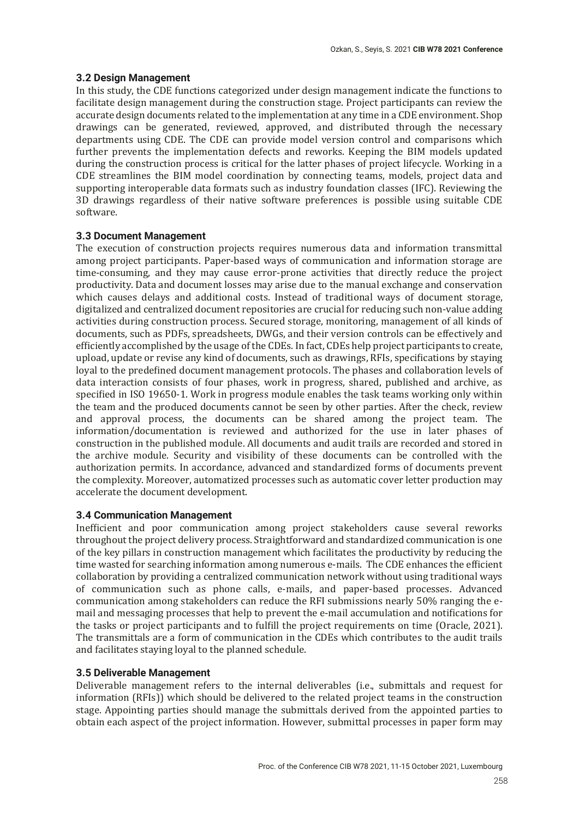## **3.2 Design Management**

In this study, the CDE functions categorized under design management indicate the functions to facilitate design management during the construction stage. Project participants can review the accurate design documents related to the implementation at any time in a CDE environment. Shop drawings can be generated, reviewed, approved, and distributed through the necessary departments using CDE. The CDE can provide model version control and comparisons which further prevents the implementation defects and reworks. Keeping the BIM models updated during the construction process is critical for the latter phases of project lifecycle. Working in a CDE streamlines the BIM model coordination by connecting teams, models, project data and supporting interoperable data formats such as industry foundation classes (IFC). Reviewing the ͵D drawings regardless of their native software preferences is possible using suitable CDE software.

## **3.3 Document Management**

The execution of construction projects requires numerous data and information transmittal among project participants. Paper-based ways of communication and information storage are time-consuming, and they may cause error-prone activities that directly reduce the project productivity. Data and document losses may arise due to the manual exchange and conservation which causes delays and additional costs. Instead of traditional ways of document storage, digitalized and centralized document repositories are crucial for reducing such non-value adding activities during construction process. Secured storage, monitoring, management of all kinds of documents, such as PDFs, spreadsheets, DWGs, and their version controls can be effectively and efficiently accomplished by the usage of the CDEs. In fact, CDEs help project participants to create, upload, update or revise any kind of documents, such as drawings, RFIs, specifications by staying loyal to the predefined document management protocols. The phases and collaboration levels of data interaction consists of four phases, work in progress, shared, published and archive, as specified in ISO 19650-1. Work in progress module enables the task teams working only within the team and the produced documents cannot be seen by other parties. After the check, review and approval process, the documents can be shared among the project team. The information/documentation is reviewed and authorized for the use in later phases of construction in the published module. All documents and audit trails are recorded and stored in the archive module. Security and visibility of these documents can be controlled with the authorization permits. In accordance, advanced and standardized forms of documents prevent the complexity. Moreover, automatized processes such as automatic cover letter production may accelerate the document development.

### **3.4 Communication Management**

Inefficient and poor communication among project stakeholders cause several reworks throughout the project delivery process. Straightforward and standardized communication is one of the key pillars in construction management which facilitates the productivity by reducing the time wasted for searching information among numerous e-mails. The CDE enhances the efficient collaboration by providing a centralized communication network without using traditional ways of communication such as phone calls, e-mails, and paper-based processes. Advanced communication among stakeholders can reduce the RFI submissions nearly 50% ranging the email and messaging processes that help to prevent the e-mail accumulation and notifications for the tasks or project participants and to fulfill the project requirements on time (Oracle, 2021). The transmittals are a form of communication in the CDEs which contributes to the audit trails and facilitates staying loyal to the planned schedule.

### **3.5 Deliverable Management**

Deliverable management refers to the internal deliverables (i.e., submittals and request for information (RFIs)) which should be delivered to the related project teams in the construction stage. Appointing parties should manage the submittals derived from the appointed parties to obtain each aspect of the project information. However, submittal processes in paper form may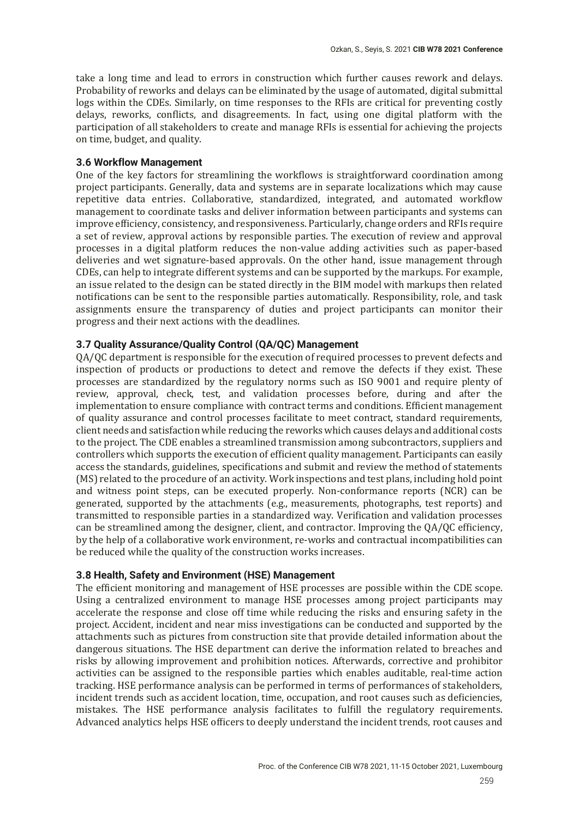take a long time and lead to errors in construction which further causes rework and delays. Probability of reworks and delays can be eliminated by the usage of automated, digital submittal logs within the CDEs. Similarly, on time responses to the RFIs are critical for preventing costly delays, reworks, conflicts, and disagreements. In fact, using one digital platform with the participation of all stakeholders to create and manage RFIs is essential for achieving the projects on time, budget, and quality.

## **3.6 Workflow Management**

One of the key factors for streamlining the workflows is straightforward coordination among project participants. Generally, data and systems are in separate localizations which may cause repetitive data entries. Collaborative, standardized, integrated, and automated workflow management to coordinate tasks and deliver information between participants and systems can improve efficiency, consistency, and responsiveness. Particularly, change orders and RFIs require a set of review, approval actions by responsible parties. The execution of review and approval processes in a digital platform reduces the non-value adding activities such as paper-based deliveries and wet signature-based approvals. On the other hand, issue management through CDEs, can help to integrate different systems and can be supported by the markups. For example, an issue related to the design can be stated directly in the BIM model with markups then related notifications can be sent to the responsible parties automatically. Responsibility, role, and task assignments ensure the transparency of duties and project participants can monitor their progress and their next actions with the deadlines.

# **3.7 Quality Assurance/Quality Control (QA/QC) Management**

QA/QC department is responsible for the execution of required processes to prevent defects and inspection of products or productions to detect and remove the defects if they exist. These processes are standardized by the regulatory norms such as ISO 9001 and require plenty of review, approval, check, test, and validation processes before, during and after the implementation to ensure compliance with contract terms and conditions. Efficient management of quality assurance and control processes facilitate to meet contract, standard requirements, client needs and satisfaction while reducing the reworks which causes delays and additional costs to the project. The CDE enables a streamlined transmission among subcontractors, suppliers and controllers which supports the execution of efficient quality management. Participants can easily access the standards, guidelines, specifications and submit and review the method of statements ȋMSȌ related to the procedure of an activity. Work inspections and test plans, including hold point and witness point steps, can be executed properly. Non-conformance reports (NCR) can be generated, supported by the attachments (e.g., measurements, photographs, test reports) and transmitted to responsible parties in a standardized way. Verification and validation processes can be streamlined among the designer, client, and contractor. Improving the  $QA/QC$  efficiency, by the help of a collaborative work environment, re-works and contractual incompatibilities can be reduced while the quality of the construction works increases.

### **3.8 Health, Safety and Environment (HSE) Management**

The efficient monitoring and management of HSE processes are possible within the CDE scope. Using a centralized environment to manage HSE processes among project participants may accelerate the response and close off time while reducing the risks and ensuring safety in the project. Accident, incident and near miss investigations can be conducted and supported by the attachments such as pictures from construction site that provide detailed information about the dangerous situations. The HSE department can derive the information related to breaches and risks by allowing improvement and prohibition notices. Afterwards, corrective and prohibitor activities can be assigned to the responsible parties which enables auditable, real-time action tracking. HSE performance analysis can be performed in terms of performances of stakeholders, incident trends such as accident location, time, occupation, and root causes such as deficiencies, mistakes. The HSE performance analysis facilitates to fulfill the regulatory requirements. Advanced analytics helps HSE officers to deeply understand the incident trends, root causes and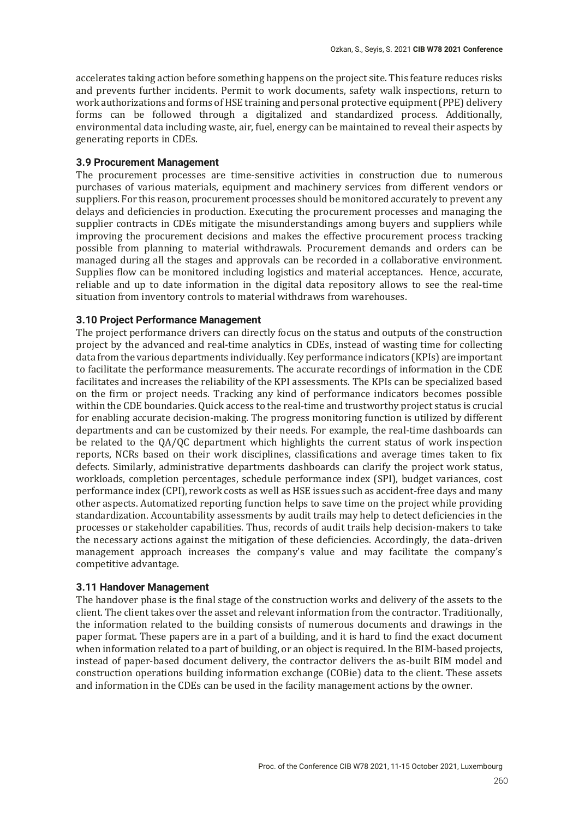accelerates taking action before something happens on the project site. This feature reduces risks and prevents further incidents. Permit to work documents, safety walk inspections, return to work authorizations and forms of HSE training and personal protective equipment (PPE) delivery forms can be followed through a digitalized and standardized process. Additionally, environmental data including waste, air, fuel, energy can be maintained to reveal their aspects by generating reports in CDEs.

## **3.9 Procurement Management**

The procurement processes are time-sensitive activities in construction due to numerous purchases of various materials, equipment and machinery services from different vendors or suppliers. For this reason, procurement processes should be monitored accurately to prevent any delays and deficiencies in production. Executing the procurement processes and managing the supplier contracts in CDEs mitigate the misunderstandings among buyers and suppliers while improving the procurement decisions and makes the effective procurement process tracking possible from planning to material withdrawals. Procurement demands and orders can be managed during all the stages and approvals can be recorded in a collaborative environment. Supplies flow can be monitored including logistics and material acceptances. Hence, accurate, reliable and up to date information in the digital data repository allows to see the real-time situation from inventory controls to material withdraws from warehouses.

## **3.10 Project Performance Management**

The project performance drivers can directly focus on the status and outputs of the construction project by the advanced and real-time analytics in CDEs, instead of wasting time for collecting data from the various departments individually. Key performance indicators (KPIs) are important to facilitate the performance measurements. The accurate recordings of information in the CDE facilitates and increases the reliability of the KPI assessments. The KPIs can be specialized based on the firm or project needs. Tracking any kind of performance indicators becomes possible within the CDE boundaries. Quick access to the real-time and trustworthy project status is crucial for enabling accurate decision-making. The progress monitoring function is utilized by different departments and can be customized by their needs. For example, the real-time dashboards can be related to the QA/QC department which highlights the current status of work inspection reports, NCRs based on their work disciplines, classifications and average times taken to fix defects. Similarly, administrative departments dashboards can clarify the project work status, workloads, completion percentages, schedule performance index (SPI), budget variances, cost performance index  $(CPI)$ , rework costs as well as HSE issues such as accident-free days and many other aspects. Automatized reporting function helps to save time on the project while providing standardization. Accountability assessments by audit trails may help to detect deficiencies in the processes or stakeholder capabilities. Thus, records of audit trails help decision-makers to take the necessary actions against the mitigation of these deficiencies. Accordingly, the data-driven management approach increases the company's value and may facilitate the company's competitive advantage.

### **3.11 Handover Management**

The handover phase is the final stage of the construction works and delivery of the assets to the client. The client takes over the asset and relevant information from the contractor. Traditionally, the information related to the building consists of numerous documents and drawings in the paper format. These papers are in a part of a building, and it is hard to find the exact document when information related to a part of building, or an object is required. In the BIM-based projects, instead of paper-based document delivery, the contractor delivers the as-built BIM model and construction operations building information exchange (COBie) data to the client. These assets and information in the CDEs can be used in the facility management actions by the owner.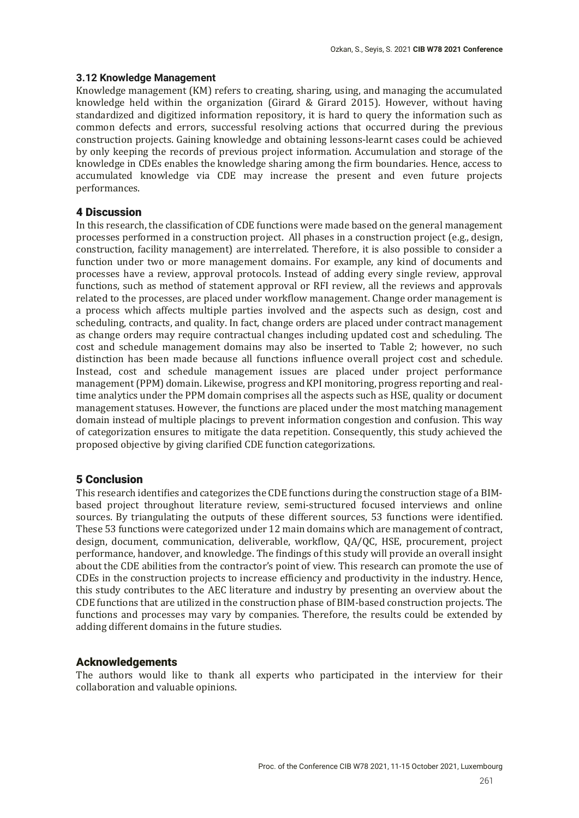## **3.12 Knowledge Management**

Knowledge management (KM) refers to creating, sharing, using, and managing the accumulated knowledge held within the organization  $\int G \cdot dA \cdot dA$  Girard 2015). However, without having standardized and digitized information repository, it is hard to query the information such as common defects and errors, successful resolving actions that occurred during the previous construction projects. Gaining knowledge and obtaining lessons-learnt cases could be achieved by only keeping the records of previous project information. Accumulation and storage of the knowledge in CDEs enables the knowledge sharing among the firm boundaries. Hence, access to accumulated knowledge via CDE may increase the present and even future projects performances.

# 4 Discussion

In this research, the classification of CDE functions were made based on the general management processes performed in a construction project. All phases in a construction project (e.g., design, construction, facility management) are interrelated. Therefore, it is also possible to consider a function under two or more management domains. For example, any kind of documents and processes have a review, approval protocols. Instead of adding every single review, approval functions, such as method of statement approval or RFI review, all the reviews and approvals related to the processes, are placed under workflow management. Change order management is a process which affects multiple parties involved and the aspects such as design, cost and scheduling, contracts, and quality. In fact, change orders are placed under contract management as change orders may require contractual changes including updated cost and scheduling. The cost and schedule management domains may also be inserted to Table 2; however, no such distinction has been made because all functions influence overall project cost and schedule. Instead, cost and schedule management issues are placed under project performance management (PPM) domain. Likewise, progress and KPI monitoring, progress reporting and realtime analytics under the PPM domain comprises all the aspects such as HSE, quality or document management statuses. However, the functions are placed under the most matching management domain instead of multiple placings to prevent information congestion and confusion. This way of categorization ensures to mitigate the data repetition. Consequently, this study achieved the proposed objective by giving clarified CDE function categorizations.

# 5 Conclusion

This research identifies and categorizes the CDE functions during the construction stage of a BIMbased project throughout literature review, semi-structured focused interviews and online sources. By triangulating the outputs of these different sources, 53 functions were identified. These 53 functions were categorized under 12 main domains which are management of contract, design, document, communication, deliverable, workflow, QA/QC, HSE, procurement, project performance, handover, and knowledge. The findings of this study will provide an overall insight about the CDE abilities from the contractor's point of view. This research can promote the use of CDEs in the construction projects to increase efficiency and productivity in the industry. Hence, this study contributes to the AEC literature and industry by presenting an overview about the CDE functions that are utilized in the construction phase of BIM-based construction projects. The functions and processes may vary by companies. Therefore, the results could be extended by adding different domains in the future studies.

# Acknowledgements

The authors would like to thank all experts who participated in the interview for their collaboration and valuable opinions.